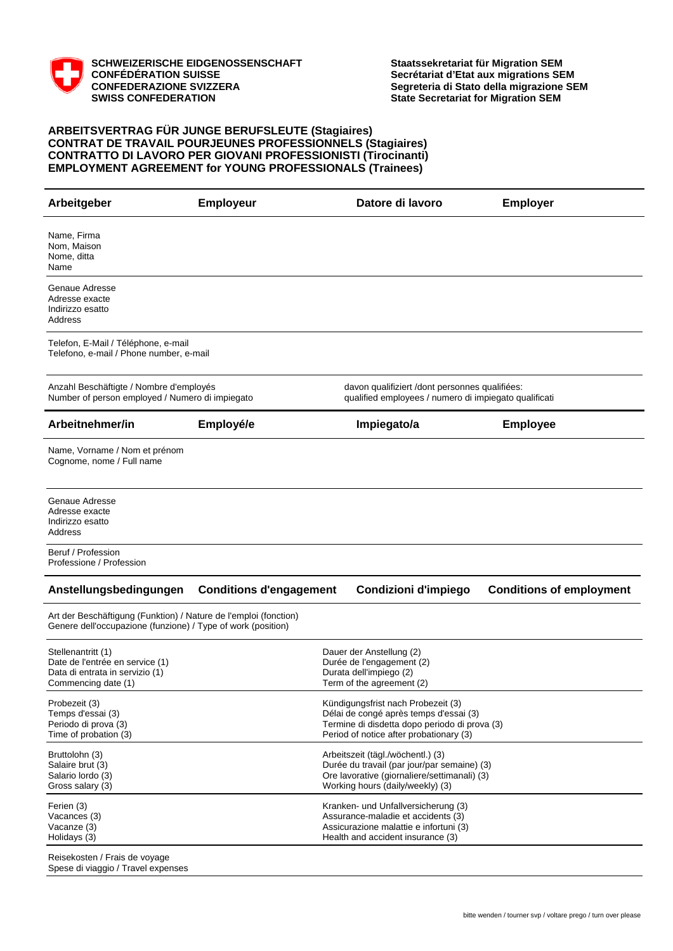

**Staatssekretariat für Migration SEM Secrétariat d'Etat aux migrations SEM Segreteria di Stato della migrazione SEM State Secretariat for Migration SEM**

### **ARBEITSVERTRAG FÜR JUNGE BERUFSLEUTE (Stagiaires) CONTRAT DE TRAVAIL POURJEUNES PROFESSIONNELS (Stagiaires) CONTRATTO DI LAVORO PER GIOVANI PROFESSIONISTI (Tirocinanti) EMPLOYMENT AGREEMENT for YOUNG PROFESSIONALS (Trainees)**

| Arbeitgeber                                                                                                                      | <b>Employeur</b>               | Datore di lavoro                                                                                                                                                         | <b>Employer</b>                 |
|----------------------------------------------------------------------------------------------------------------------------------|--------------------------------|--------------------------------------------------------------------------------------------------------------------------------------------------------------------------|---------------------------------|
| Name, Firma<br>Nom, Maison<br>Nome, ditta<br>Name                                                                                |                                |                                                                                                                                                                          |                                 |
| Genaue Adresse<br>Adresse exacte<br>Indirizzo esatto<br>Address                                                                  |                                |                                                                                                                                                                          |                                 |
| Telefon, E-Mail / Téléphone, e-mail<br>Telefono, e-mail / Phone number, e-mail                                                   |                                |                                                                                                                                                                          |                                 |
| Anzahl Beschäftigte / Nombre d'employés<br>Number of person employed / Numero di impiegato                                       |                                | davon qualifiziert /dont personnes qualifiées:<br>qualified employees / numero di impiegato qualificati                                                                  |                                 |
| Arbeitnehmer/in                                                                                                                  | Employé/e                      | Impiegato/a                                                                                                                                                              | <b>Employee</b>                 |
| Name, Vorname / Nom et prénom<br>Cognome, nome / Full name                                                                       |                                |                                                                                                                                                                          |                                 |
| Genaue Adresse<br>Adresse exacte<br>Indirizzo esatto<br>Address                                                                  |                                |                                                                                                                                                                          |                                 |
| Beruf / Profession<br>Professione / Profession                                                                                   |                                |                                                                                                                                                                          |                                 |
| Anstellungsbedingungen                                                                                                           | <b>Conditions d'engagement</b> | Condizioni d'impiego                                                                                                                                                     | <b>Conditions of employment</b> |
| Art der Beschäftigung (Funktion) / Nature de l'emploi (fonction)<br>Genere dell'occupazione (funzione) / Type of work (position) |                                |                                                                                                                                                                          |                                 |
| Stellenantritt (1)<br>Date de l'entrée en service (1)<br>Data di entrata in servizio (1)<br>Commencing date (1)                  |                                | Dauer der Anstellung (2)<br>Durée de l'engagement (2)<br>Durata dell'impiego (2)<br>Term of the agreement (2)                                                            |                                 |
| Probezeit (3)<br>Temps d'essai (3)<br>Periodo di prova (3)<br>Time of probation (3)                                              |                                | Kündigungsfrist nach Probezeit (3)<br>Délai de congé après temps d'essai (3)<br>Termine di disdetta dopo periodo di prova (3)<br>Period of notice after probationary (3) |                                 |
| Bruttolohn (3)<br>Salaire brut (3)<br>Salario lordo (3)<br>Gross salary (3)                                                      |                                | Arbeitszeit (tägl./wöchentl.) (3)<br>Durée du travail (par jour/par semaine) (3)<br>Ore lavorative (giornaliere/settimanali) (3)<br>Working hours (daily/weekly) (3)     |                                 |
| Ferien (3)<br>Vacances (3)<br>Vacanze (3)<br>Holidays (3)                                                                        |                                | Kranken- und Unfallversicherung (3)<br>Assurance-maladie et accidents (3)<br>Assicurazione malattie e infortuni (3)<br>Health and accident insurance (3)                 |                                 |
| Reisekosten / Frais de voyage<br>Spese di viaggio / Travel expenses                                                              |                                |                                                                                                                                                                          |                                 |